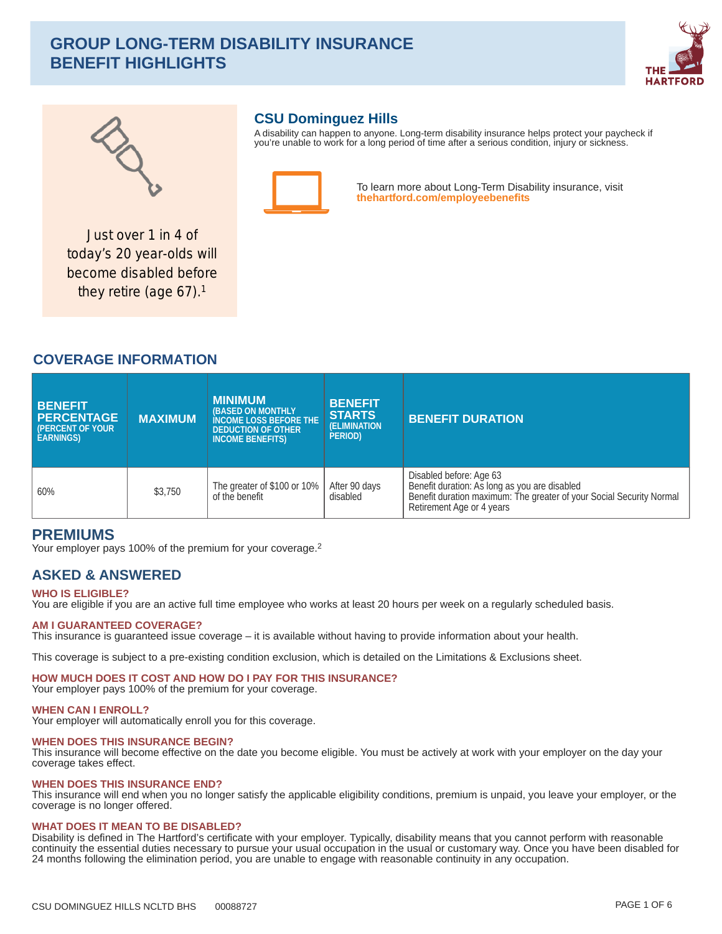# **GROUP LONG-TERM DISABILITY INSURANCE BENEFIT HIGHLIGHTS**





# **CSU Dominguez Hills**

A disability can happen to anyone. Long-term disability insurance helps protect your paycheck if you're unable to work for a long period of time after a serious condition, injury or sickness.



To learn more about Long-Term Disability insurance, visit thehartford.com/employeebenefits

Just over 1 in 4 of today's 20 year-olds will become disabled before they retire (age  $67$ ).<sup>1</sup>

# **COVERAGE INFORMATION**

| <b>BENEFIT</b><br><b>PERCENTAGE</b><br><b>(PERCENT OF YOUR)</b><br><b>EARNINGS</b> | <b>MAXIMUM</b> | <b>MINIMUM</b><br><b>(BASED ON MONTHLY)</b><br><b>INCOME LOSS BEFORE THE</b><br><b>DEDUCTION OF OTHER</b><br><b>INCOME BENEFITS)</b> | <b>BENEFIT</b><br><b>STARTS</b><br><b>(ELIMINATION)</b><br><b>PERIOD</b> | <b>BENEFIT DURATION</b>                                                                                                                                                       |
|------------------------------------------------------------------------------------|----------------|--------------------------------------------------------------------------------------------------------------------------------------|--------------------------------------------------------------------------|-------------------------------------------------------------------------------------------------------------------------------------------------------------------------------|
| 60%                                                                                | \$3,750        | The greater of \$100 or 10%<br>of the benefit                                                                                        | After 90 days<br>disabled                                                | Disabled before: Age 63<br>Benefit duration: As long as you are disabled<br>Benefit duration maximum: The greater of your Social Security Normal<br>Retirement Age or 4 years |

## **PREMIUMS**

Your employer pays 100% of the premium for your coverage.<sup>2</sup>

# **ASKED & ANSWERED**

## **WHO IS ELIGIBLE?**

You are eligible if you are an active full time employee who works at least 20 hours per week on a regularly scheduled basis.

## **AM I GUARANTEED COVERAGE?**

This insurance is guaranteed issue coverage - it is available without having to provide information about your health.

This coverage is subject to a pre-existing condition exclusion, which is detailed on the Limitations & Exclusions sheet.

## HOW MUCH DOES IT COST AND HOW DO I PAY FOR THIS INSURANCE?

Your employer pays 100% of the premium for your coverage.

#### **WHEN CAN I ENROLL?**

Your employer will automatically enroll you for this coverage.

#### **WHEN DOES THIS INSURANCE BEGIN?**

This insurance will become effective on the date you become eligible. You must be actively at work with your employer on the day your coverage takes effect.

#### **WHEN DOES THIS INSURANCE END?**

This insurance will end when you no longer satisfy the applicable eligibility conditions, premium is unpaid, you leave your employer, or the coverage is no longer offered.

#### **WHAT DOES IT MEAN TO BE DISABLED?**

Disability is defined in The Hartford's certificate with your employer. Typically, disability means that you cannot perform with reasonable continuity the essential duties necessary to pursue your usual occupation in the usual or customary way. Once you have been disabled for 24 months following the elimination period, you are unable to engage with reasonable continuity in any occupation.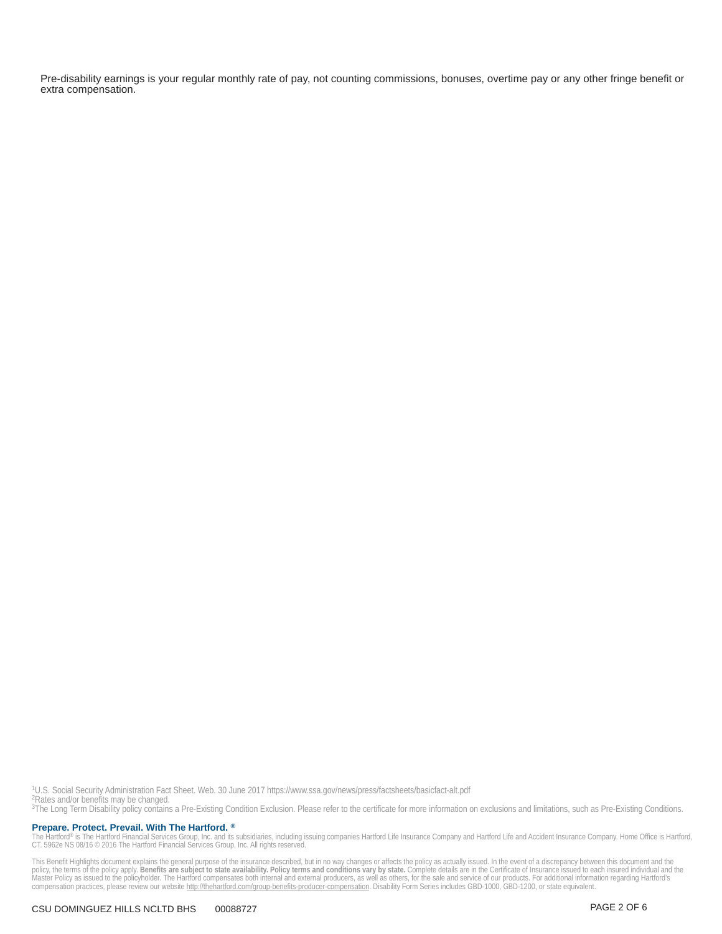Pre-disability earnings is your regular monthly rate of pay, not counting commissions, bonuses, overtime pay or any other fringe benefit or extra compensation.

<sup>1</sup>U.S. Social Security Administration Fact Sheet. Web. 30 June 2017 https://www.ssa.gov/news/press/factsheets/basicfact-alt.pdf<br><sup>2</sup>Rates and/or benefits may be changed.<br><sup>3</sup>The Long Term Disability policy contains a Pre-Ex

Prepare. Protect. Prevail. With The Hartford. ®

The Hartford® is The Hartford Financial Services Group, Inc. and its subsidiaries, including issuing companies Hartford Life Insurance Company and Hartford Life and Accident Insurance Company. Home Office is Hartford,<br>CT.

This Benefit Highlights document explains the general purpose of the insurance described, but in no way changes or affects the policy as actually issued. In the event of a discrepancy between this document and the policy,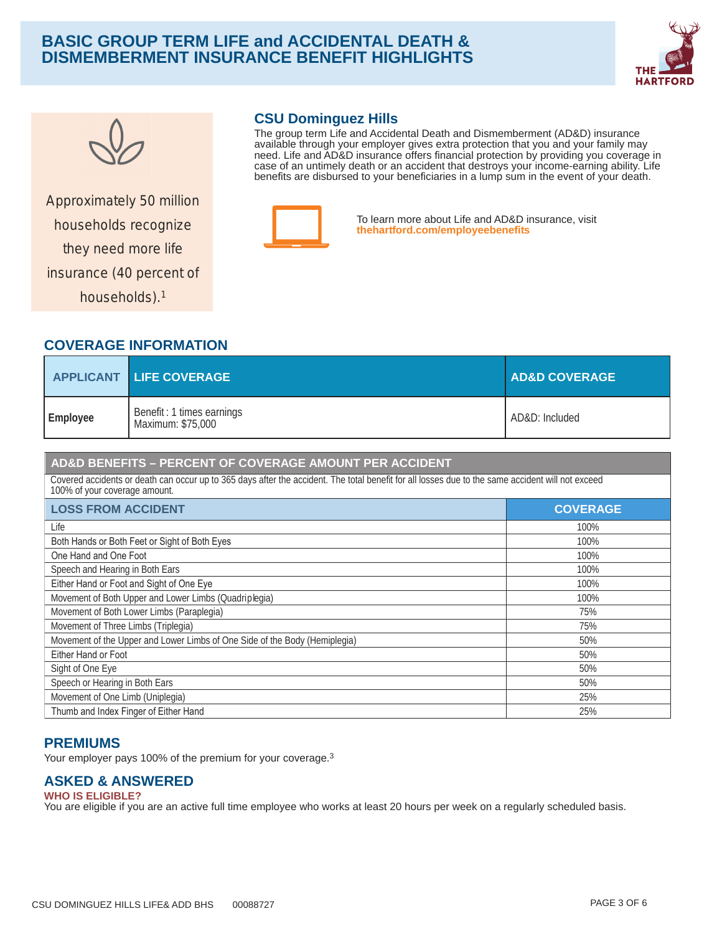# **B ASIC GROUP TERM LIFE and ACCIDENTAL DEATH & D ISMEMBERMENT INSURANCE BENEFIT HIGHLIGHTS**





Approximately 50 million they need more life insurance (40 percent of households).<sup>1</sup>

# **CSU Dominguez Hills**

The group term Life and Accidental Death and Dismemberment (AD&D) insurance available through your employer gives extra protection that you and your family may need. Life and AD&D insurance offers financial protection by providing you coverage in case of an untimely death or an accident that destroys your income-earning ability. Life benefits are disbursed to your beneficiaries in a lump sum in the event of your death.



To learn more about Life and AD&D insurance, visit households recognize **[thehartford.com/employeebene](https://www.thehartford.com/employeebenefits)fits**

# **COVERAGE INFORMATION**

|          | <b>APPLICANT LIFE COVERAGE</b>                 | <b>AD&amp;D COVERAGE</b> |
|----------|------------------------------------------------|--------------------------|
| Employee | Benefit: 1 times earnings<br>Maximum: \$75,000 | AD&D: Included           |

## **AD&D BENEFITS – PERCENT OF COVERAGE AMOUNT PER ACCIDENT**

Covered accidents or death can occur up to 365 days after the accident. The total benefit for all losses due to the same accident will not exceed 100% of your coverage amount.

| <b>LOSS FROM ACCIDENT</b>                                                  | <b>COVERAGE</b> |
|----------------------------------------------------------------------------|-----------------|
| Life                                                                       | 100%            |
| Both Hands or Both Feet or Sight of Both Eyes                              | 100%            |
| One Hand and One Foot                                                      | 100%            |
| Speech and Hearing in Both Ears                                            | 100%            |
| Either Hand or Foot and Sight of One Eye                                   | 100%            |
| Movement of Both Upper and Lower Limbs (Quadriplegia)                      | 100%            |
| Movement of Both Lower Limbs (Paraplegia)                                  | 75%             |
| Movement of Three Limbs (Triplegia)                                        | 75%             |
| Movement of the Upper and Lower Limbs of One Side of the Body (Hemiplegia) | 50%             |
| Either Hand or Foot                                                        | 50%             |
| Sight of One Eye                                                           | 50%             |
| Speech or Hearing in Both Ears                                             | 50%             |
| Movement of One Limb (Uniplegia)                                           | 25%             |
| Thumb and Index Finger of Either Hand                                      | 25%             |

## **PREMIUMS**

Your employer pays 100% of the premium for your coverage.<sup>3</sup>

## **ASKED & ANSWERED**

#### **WHO IS ELIGIBLE?** You are eligible if you are an active full time employee who works at least 20 hours per week on a regularly scheduled basis.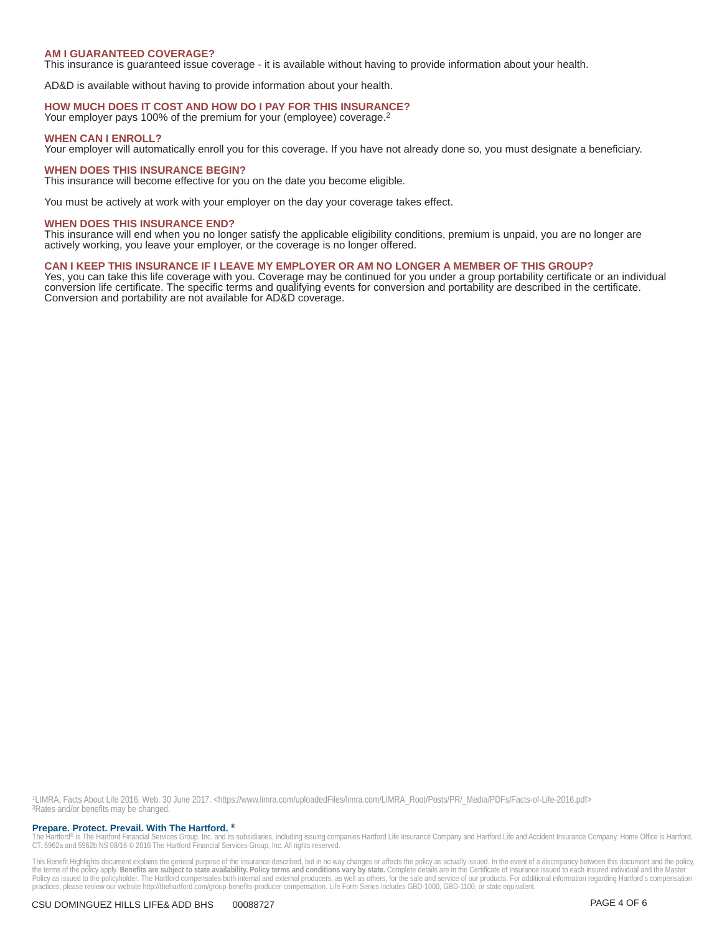#### **AM I GUARANTEED COVERAGE?**

This insurance is guaranteed issue coverage - it is available without having to provide information about your health.

AD&D is available without having to provide information about your health.

#### HOW MUCH DOES IT COST AND HOW DO I PAY FOR THIS INSURANCE?

Your employer pays 100% of the premium for your (employee) coverage.<sup>2</sup>

#### **WHEN CAN I ENROLL?**

Your employer will automatically enroll you for this coverage. If you have not already done so, you must designate a beneficiary.

#### **WHEN DOES THIS INSURANCE BEGIN?**

This insurance will become effective for you on the date you become eligible.

You must be actively at work with your employer on the day your coverage takes effect.

#### **WHEN DOES THIS INSURANCE END?**

This insurance will end when you no longer satisfy the applicable eligibility conditions, premium is unpaid, you are no longer are actively working, you leave your employer, or the coverage is no longer offered.

### CAN I KEEP THIS INSURANCE IF I LEAVE MY EMPLOYER OR AM NO LONGER A MEMBER OF THIS GROUP?

Yes, you can take this life coverage with you. Coverage may be continued for you under a group portability certificate or an individual conversion life certificate. The specific terms and qualifying events for conversion and portability are described in the certificate. Conversion and portability are not available for AD&D coverage.

1LIMRA, Facts About Life 2016. Web. 30 June 2017. < https://www.limra.com/uploadedFiles/limra.com/LIMRA\_Root/Posts/PR/\_Media/PDFs/Facts-of-Life-2016.pdf> <sup>3</sup>Rates and/or benefits may be changed.

#### Prepare. Protect. Prevail. With The Hartford. ®

The Hartford® is The Hartford Financial Services Group, Inc. and its subsidiaries, including issuing companies Hartford Life Insurance Company and Hartford Life and Accident Insurance Company. Home Office is Hartford, CT.

This Benefit Highlights document explains the general purpose of the insurance described, but in no way changes or affects the policy as actually issued. In the event of a discrepancy between this document and the policy, practices, please review our website http://thehartford.com/group-benefits-producer-compensation. Life Form Series includes GBD-1000, GBD-1100, or state equivalent.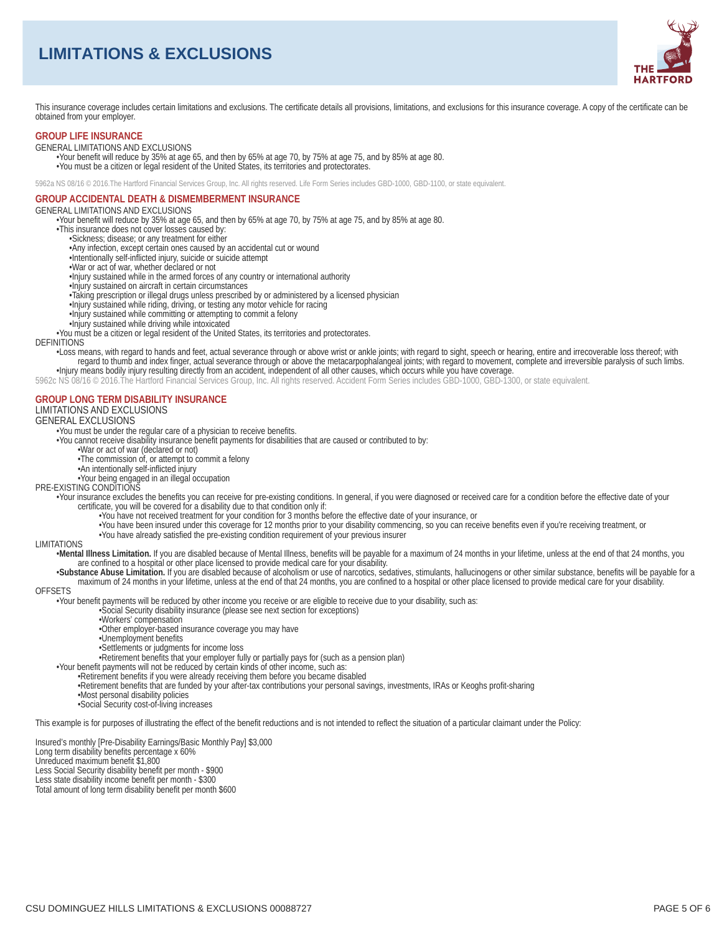# **LIMITATIONS & EXCLUSIONS**



This insurance coverage includes certain limitations and exclusions. The certificate details all provisions, limitations, and exclusions for this insurance coverage. A copy of the certificate can be obtained from your employer.

#### **GROUP LIFE INSURANCE**

**GENERAL LIMITATIONS AND EXCLUSIONS** 

.<br>Your benefit will reduce by 35% at age 65, and then by 65% at age 70, by 75% at age 75, and by 85% at age 80. . You must be a citizen or legal resident of the United States, its territories and protectorates.

5962a NS 08/16 © 2016. The Hartford Financial Services Group, Inc. All rights reserved. Life Form Series includes GBD-1000, GBD-1100, or state equivalent.

## **GROUP ACCIDENTAL DEATH & DISMEMBERMENT INSURANCE**

#### **GENERAL LIMITATIONS AND EXCLUSIONS**

-Your benefit will reduce by 35% at age 65, and then by 65% at age 70, by 75% at age 75, and by 85% at age 80.

- . This insurance does not cover losses caused by:
	- ·Sickness; disease; or any treatment for either
	- ·Any infection, except certain ones caused by an accidental cut or wound
	- ·Intentionally self-inflicted injury, suicide or suicide attempt
	- War or act of war, whether declared or not
	- . Injury sustained while in the armed forces of any country or international authority
	- ·Injury sustained on aircraft in certain circumstances
	- •Taking prescription or illegal drugs unless prescribed by or administered by a licensed physician
	- Injury sustained while riding, driving, or testing any motor vehicle for racing
	- Injury sustained while committing or attempting to commit a felony
	- ·Injury sustained while driving while intoxicated

. You must be a citizen or legal resident of the United States, its territories and protectorates.

#### **DEFINITIONS**

-Loss means, with regard to hands and feet, actual severance through or above wrist or ankle joints; with regard to sight, speech or hearing, entire and irrecoverable loss thereof; with<br>regard to thumb and index finger, ac -Injury means bodily injury resulting directly from an accident, independent of all other causes, which occurs while you have coverage.

5962c NS 08/16 © 2016. The Hartford Financial Services Group, Inc. All rights reserved. Accident Form Series includes GBD-1000, GBD-1300, or state equivalent.

#### **GROUP LONG TERM DISABILITY INSURANCE**

## LIMITATIONS AND EXCLUSIONS

**GENERAL EXCLUSIONS** 

•You must be under the regular care of a physician to receive benefits.

-You cannot receive disability insurance benefit payments for disabilities that are caused or contributed to by:

- .War or act of war (declared or not)
- •The commission of, or attempt to commit a felony
- ·An intentionally self-inflicted injury
- PRE-EXISTING CONDITIONS

- -Your insurance excludes the benefits you can receive for pre-existing conditions. In general, if you were diagnosed or received care for a condition before the effective date of your certificate, you will be covered for a disability due to that condition only if:
	- •You have not received treatment for your condition for 3 months before the effective date of your insurance, or
	- . You have been insured under this coverage for 12 months prior to your disability commencing, so you can receive benefits even if you're receiving treatment, or . You have already satisfied the pre-existing condition requ
- 

#### **I IMITATIONS**

- -Mental Illness Limitation. If you are disabled because of Mental Illness, benefits will be payable for a maximum of 24 months in your lifetime, unless at the end of that 24 months, you are confined to a hospital or other place licensed to provide medical care for your disability.
- •Substance Abuse Limitation. If you are disabled because of alcoholism or use of narcotics, sedatives, stimulants, hallucinogens or other similar substance, benefits will be payable for a maximum of 24 months in your lifetime, unless at the end of that 24 months, you are confined to a hospital or other place licensed to provide medical care for your disability.

#### **OFFSETS**

- •Your benefit payments will be reduced by other income you receive or are eligible to receive due to your disability, such as:
	- Social Security disability insurance (please see next section for exceptions)
	- ·Workers' compensation
	- •Other employer-based insurance coverage you may have
	- •Unemployment benefits
	- •Settlements or judgments for income loss
	- •Retirement benefits that your employer fully or partially pays for (such as a pension plan)
- •Your benefit payments will not be reduced by certain kinds of other income, such as:
	- Retirement benefits if you were already receiving them before you became disabled
	- -Retirement benefits that are funded by your after-tax contributions your personal savings, investments, IRAs or Keoghs profit-sharing
	- -Most personal disability policies<br>-Social Security cost-of-living increases
	-

This example is for purposes of illustrating the effect of the benefit reductions and is not intended to reflect the situation of a particular claimant under the Policy:

Insured's monthly [Pre-Disability Earnings/Basic Monthly Pay] \$3,000

Long term disability benefits percentage x 60% Unreduced maximum benefit \$1.800

Less Social Security disability benefit per month - \$900

Less state disability income benefit per month - \$300<br>Total amount of long term disability benefit per month \$600